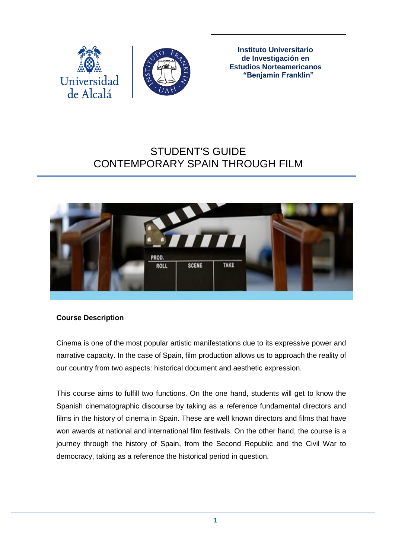



**Instituto Universitario de Investigación en Estudios Norteamericanos "Benjamin Franklin"**

# STUDENT'S GUIDE CONTEMPORARY SPAIN THROUGH FILM



## **Course Description**

Cinema is one of the most popular artistic manifestations due to its expressive power and narrative capacity. In the case of Spain, film production allows us to approach the reality of our country from two aspects: historical document and aesthetic expression.

This course aims to fulfill two functions. On the one hand, students will get to know the Spanish cinematographic discourse by taking as a reference fundamental directors and films in the history of cinema in Spain. These are well known directors and films that have won awards at national and international film festivals. On the other hand, the course is a journey through the history of Spain, from the Second Republic and the Civil War to democracy, taking as a reference the historical period in question.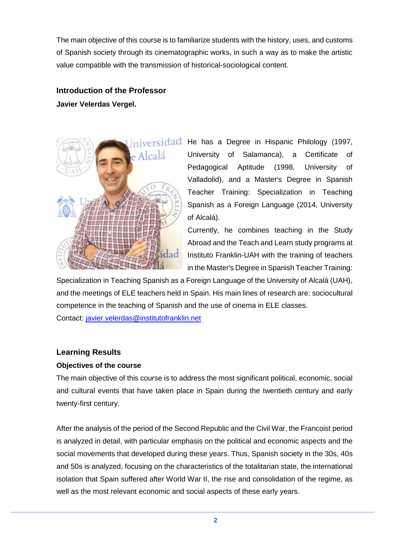The main objective of this course is to familiarize students with the history, uses, and customs of Spanish society through its cinematographic works, in such a way as to make the artistic value compatible with the transmission of historical-sociological content.

# **Introduction of the Professor Javier Velerdas Vergel.**



niversidad He has a Degree in Hispanic Philology (1997, University of Salamanca), a Certificate of Pedagogical Aptitude (1998, University of Valladolid), and a Master's Degree in Spanish Teacher Training: Specialization in Teaching Spanish as a Foreign Language (2014, University of Alcalá).

> Currently, he combines teaching in the Study Abroad and the Teach and Learn study programs at Instituto Franklin-UAH with the training of teachers in the Master's Degree in Spanish Teacher Training:

Specialization in Teaching Spanish as a Foreign Language of the University of Alcalá (UAH), and the meetings of ELE teachers held in Spain. His main lines of research are: sociocultural competence in the teaching of Spanish and the use of cinema in ELE classes.

Contact: [javier.velerdas@institutofranklin.net](mailto:javier.velerdas@institutofranklin.net)

## **Learning Results**

#### **Objectives of the course**

The main objective of this course is to address the most significant political, economic, social and cultural events that have taken place in Spain during the twentieth century and early twenty-first century.

After the analysis of the period of the Second Republic and the Civil War, the Francoist period is analyzed in detail, with particular emphasis on the political and economic aspects and the social movements that developed during these years. Thus, Spanish society in the 30s, 40s and 50s is analyzed, focusing on the characteristics of the totalitarian state, the international isolation that Spain suffered after World War II, the rise and consolidation of the regime, as well as the most relevant economic and social aspects of these early years.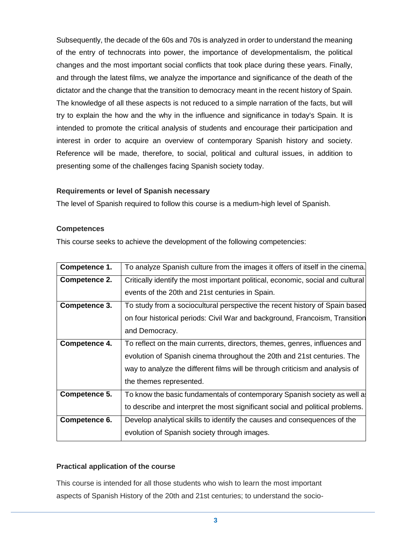Subsequently, the decade of the 60s and 70s is analyzed in order to understand the meaning of the entry of technocrats into power, the importance of developmentalism, the political changes and the most important social conflicts that took place during these years. Finally, and through the latest films, we analyze the importance and significance of the death of the dictator and the change that the transition to democracy meant in the recent history of Spain. The knowledge of all these aspects is not reduced to a simple narration of the facts, but will try to explain the how and the why in the influence and significance in today's Spain. It is intended to promote the critical analysis of students and encourage their participation and interest in order to acquire an overview of contemporary Spanish history and society. Reference will be made, therefore, to social, political and cultural issues, in addition to presenting some of the challenges facing Spanish society today.

#### **Requirements or level of Spanish necessary**

The level of Spanish required to follow this course is a medium-high level of Spanish.

#### **Competences**

This course seeks to achieve the development of the following competencies:

| Competence 1. | To analyze Spanish culture from the images it offers of itself in the cinema.   |
|---------------|---------------------------------------------------------------------------------|
| Competence 2. | Critically identify the most important political, economic, social and cultural |
|               | events of the 20th and 21st centuries in Spain.                                 |
| Competence 3. | To study from a sociocultural perspective the recent history of Spain based     |
|               | on four historical periods: Civil War and background, Francoism, Transition     |
|               | and Democracy.                                                                  |
| Competence 4. | To reflect on the main currents, directors, themes, genres, influences and      |
|               | evolution of Spanish cinema throughout the 20th and 21st centuries. The         |
|               | way to analyze the different films will be through criticism and analysis of    |
|               | the themes represented.                                                         |
| Competence 5. | To know the basic fundamentals of contemporary Spanish society as well a        |
|               | to describe and interpret the most significant social and political problems.   |
| Competence 6. | Develop analytical skills to identify the causes and consequences of the        |
|               | evolution of Spanish society through images.                                    |

#### **Practical application of the course**

This course is intended for all those students who wish to learn the most important aspects of Spanish History of the 20th and 21st centuries; to understand the socio